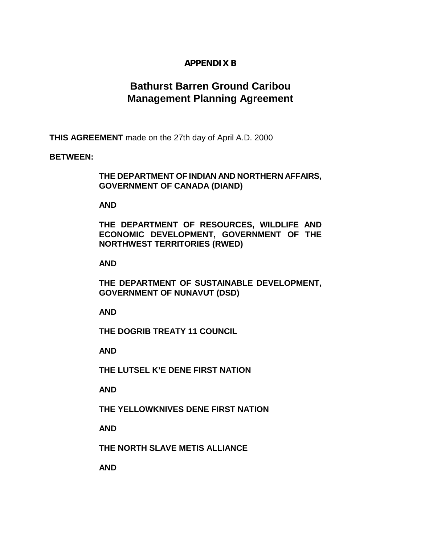# **APPENDIX B**

# **Bathurst Barren Ground Caribou Management Planning Agreement**

**THIS AGREEMENT** made on the 27th day of April A.D. 2000

#### **BETWEEN:**

## **THE DEPARTMENT OF INDIAN AND NORTHERN AFFAIRS, GOVERNMENT OF CANADA (DIAND)**

#### **AND**

**THE DEPARTMENT OF RESOURCES, WILDLIFE AND ECONOMIC DEVELOPMENT, GOVERNMENT OF THE NORTHWEST TERRITORIES (RWED)** 

#### **AND**

**THE DEPARTMENT OF SUSTAINABLE DEVELOPMENT, GOVERNMENT OF NUNAVUT (DSD)** 

**AND** 

**THE DOGRIB TREATY 11 COUNCIL** 

 **AND** 

 **THE LUTSEL K'E DENE FIRST NATION** 

 **AND** 

 **THE YELLOWKNIVES DENE FIRST NATION** 

 **AND** 

 **THE NORTH SLAVE METIS ALLIANCE** 

 **AND**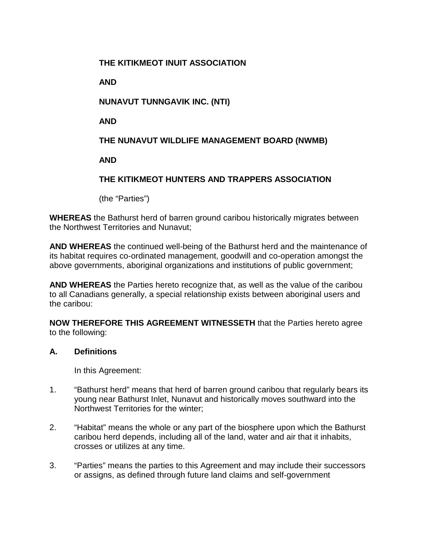## **THE KITIKMEOT INUIT ASSOCIATION**

 **AND** 

# **NUNAVUT TUNNGAVIK INC. (NTI)**

 **AND** 

# **THE NUNAVUT WILDLIFE MANAGEMENT BOARD (NWMB)**

 **AND** 

# **THE KITIKMEOT HUNTERS AND TRAPPERS ASSOCIATION**

(the "Parties")

**WHEREAS** the Bathurst herd of barren ground caribou historically migrates between the Northwest Territories and Nunavut;

**AND WHEREAS** the continued well-being of the Bathurst herd and the maintenance of its habitat requires co-ordinated management, goodwill and co-operation amongst the above governments, aboriginal organizations and institutions of public government;

**AND WHEREAS** the Parties hereto recognize that, as well as the value of the caribou to all Canadians generally, a special relationship exists between aboriginal users and the caribou:

**NOW THEREFORE THIS AGREEMENT WITNESSETH** that the Parties hereto agree to the following:

#### **A. Definitions**

In this Agreement:

- 1. "Bathurst herd" means that herd of barren ground caribou that regularly bears its young near Bathurst Inlet, Nunavut and historically moves southward into the Northwest Territories for the winter;
- 2. "Habitat" means the whole or any part of the biosphere upon which the Bathurst caribou herd depends, including all of the land, water and air that it inhabits, crosses or utilizes at any time.
- 3. "Parties" means the parties to this Agreement and may include their successors or assigns, as defined through future land claims and self-government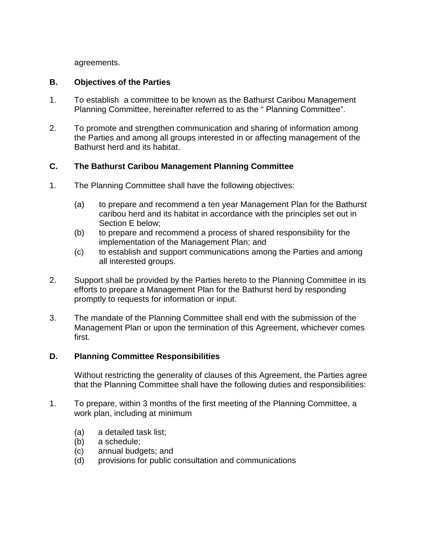agreements.

## **B. Objectives of the Parties**

- 1. To establish a committee to be known as the Bathurst Caribou Management Planning Committee, hereinafter referred to as the " Planning Committee".
- 2. To promote and strengthen communication and sharing of information among the Parties and among all groups interested in or affecting management of the Bathurst herd and its habitat.

## **C. The Bathurst Caribou Management Planning Committee**

- 1. The Planning Committee shall have the following objectives:
	- (a) to prepare and recommend a ten year Management Plan for the Bathurst caribou herd and its habitat in accordance with the principles set out in Section E below;
	- (b) to prepare and recommend a process of shared responsibility for the implementation of the Management Plan; and
	- (c) to establish and support communications among the Parties and among all interested groups.
- 2. Support shall be provided by the Parties hereto to the Planning Committee in its efforts to prepare a Management Plan for the Bathurst herd by responding promptly to requests for information or input.
- 3. The mandate of the Planning Committee shall end with the submission of the Management Plan or upon the termination of this Agreement, whichever comes first.

# **D. Planning Committee Responsibilities**

Without restricting the generality of clauses of this Agreement, the Parties agree that the Planning Committee shall have the following duties and responsibilities:

- 1. To prepare, within 3 months of the first meeting of the Planning Committee, a work plan, including at minimum
	- (a) a detailed task list;
	- (b) a schedule;
	- (c) annual budgets; and
	- (d) provisions for public consultation and communications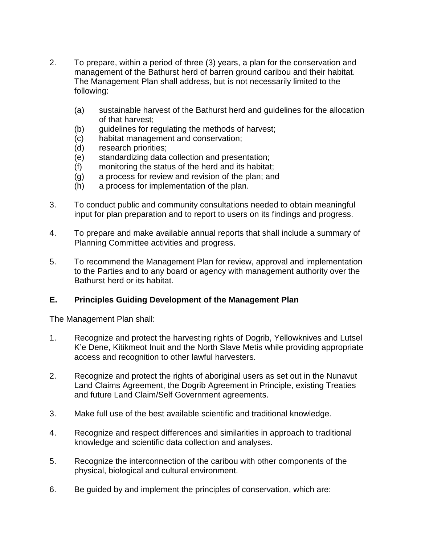- 2. To prepare, within a period of three (3) years, a plan for the conservation and management of the Bathurst herd of barren ground caribou and their habitat. The Management Plan shall address, but is not necessarily limited to the following:
	- (a) sustainable harvest of the Bathurst herd and guidelines for the allocation of that harvest;
	- (b) guidelines for regulating the methods of harvest;
	- (c) habitat management and conservation;
	- (d) research priorities;
	- (e) standardizing data collection and presentation;
	- (f) monitoring the status of the herd and its habitat;
	- (g) a process for review and revision of the plan; and
	- (h) a process for implementation of the plan.
- 3. To conduct public and community consultations needed to obtain meaningful input for plan preparation and to report to users on its findings and progress.
- 4. To prepare and make available annual reports that shall include a summary of Planning Committee activities and progress.
- 5. To recommend the Management Plan for review, approval and implementation to the Parties and to any board or agency with management authority over the Bathurst herd or its habitat.

# **E. Principles Guiding Development of the Management Plan**

The Management Plan shall:

- 1. Recognize and protect the harvesting rights of Dogrib, Yellowknives and Lutsel K'e Dene, Kitikmeot Inuit and the North Slave Metis while providing appropriate access and recognition to other lawful harvesters.
- 2. Recognize and protect the rights of aboriginal users as set out in the Nunavut Land Claims Agreement, the Dogrib Agreement in Principle, existing Treaties and future Land Claim/Self Government agreements.
- 3. Make full use of the best available scientific and traditional knowledge.
- 4. Recognize and respect differences and similarities in approach to traditional knowledge and scientific data collection and analyses.
- 5. Recognize the interconnection of the caribou with other components of the physical, biological and cultural environment.
- 6. Be guided by and implement the principles of conservation, which are: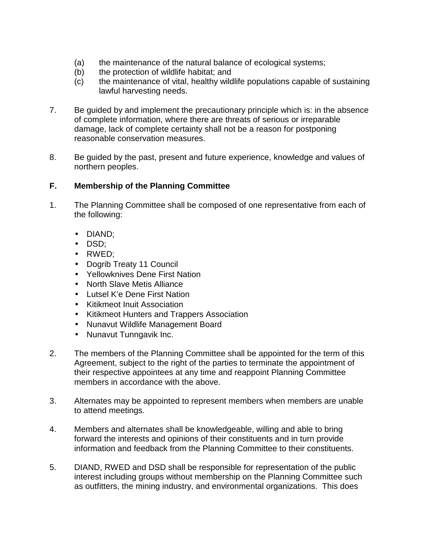- (a) the maintenance of the natural balance of ecological systems;
- (b) the protection of wildlife habitat; and
- (c) the maintenance of vital, healthy wildlife populations capable of sustaining lawful harvesting needs.
- 7. Be guided by and implement the precautionary principle which is: in the absence of complete information, where there are threats of serious or irreparable damage, lack of complete certainty shall not be a reason for postponing reasonable conservation measures.
- 8. Be guided by the past, present and future experience, knowledge and values of northern peoples.

## **F. Membership of the Planning Committee**

- 1. The Planning Committee shall be composed of one representative from each of the following:
	- DIAND;
	- DSD;
	- RWED;
	- Dogrib Treaty 11 Council
	- Yellowknives Dene First Nation
	- North Slave Metis Alliance
	- Lutsel K'e Dene First Nation
	- Kitikmeot Inuit Association
	- Kitikmeot Hunters and Trappers Association
	- Nunavut Wildlife Management Board
	- Nunavut Tunngavik Inc.
- 2. The members of the Planning Committee shall be appointed for the term of this Agreement, subject to the right of the parties to terminate the appointment of their respective appointees at any time and reappoint Planning Committee members in accordance with the above.
- 3. Alternates may be appointed to represent members when members are unable to attend meetings.
- 4. Members and alternates shall be knowledgeable, willing and able to bring forward the interests and opinions of their constituents and in turn provide information and feedback from the Planning Committee to their constituents.
- 5. DIAND, RWED and DSD shall be responsible for representation of the public interest including groups without membership on the Planning Committee such as outfitters, the mining industry, and environmental organizations. This does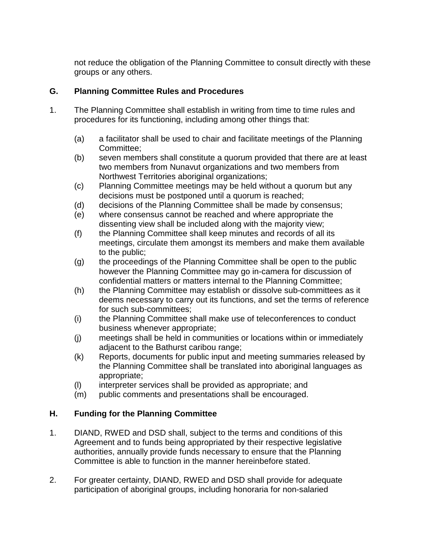not reduce the obligation of the Planning Committee to consult directly with these groups or any others.

## **G. Planning Committee Rules and Procedures**

- 1. The Planning Committee shall establish in writing from time to time rules and procedures for its functioning, including among other things that:
	- (a) a facilitator shall be used to chair and facilitate meetings of the Planning Committee;
	- (b) seven members shall constitute a quorum provided that there are at least two members from Nunavut organizations and two members from Northwest Territories aboriginal organizations;
	- (c) Planning Committee meetings may be held without a quorum but any decisions must be postponed until a quorum is reached;
	- (d) decisions of the Planning Committee shall be made by consensus;
	- (e) where consensus cannot be reached and where appropriate the dissenting view shall be included along with the majority view;
	- (f) the Planning Committee shall keep minutes and records of all its meetings, circulate them amongst its members and make them available to the public;
	- (g) the proceedings of the Planning Committee shall be open to the public however the Planning Committee may go in-camera for discussion of confidential matters or matters internal to the Planning Committee;
	- (h) the Planning Committee may establish or dissolve sub-committees as it deems necessary to carry out its functions, and set the terms of reference for such sub-committees;
	- (i) the Planning Committee shall make use of teleconferences to conduct business whenever appropriate;
	- (j) meetings shall be held in communities or locations within or immediately adjacent to the Bathurst caribou range;
	- (k) Reports, documents for public input and meeting summaries released by the Planning Committee shall be translated into aboriginal languages as appropriate;
	- (l) interpreter services shall be provided as appropriate; and
	- (m) public comments and presentations shall be encouraged.

# **H. Funding for the Planning Committee**

- 1. DIAND, RWED and DSD shall, subject to the terms and conditions of this Agreement and to funds being appropriated by their respective legislative authorities, annually provide funds necessary to ensure that the Planning Committee is able to function in the manner hereinbefore stated.
- 2. For greater certainty, DIAND, RWED and DSD shall provide for adequate participation of aboriginal groups, including honoraria for non-salaried